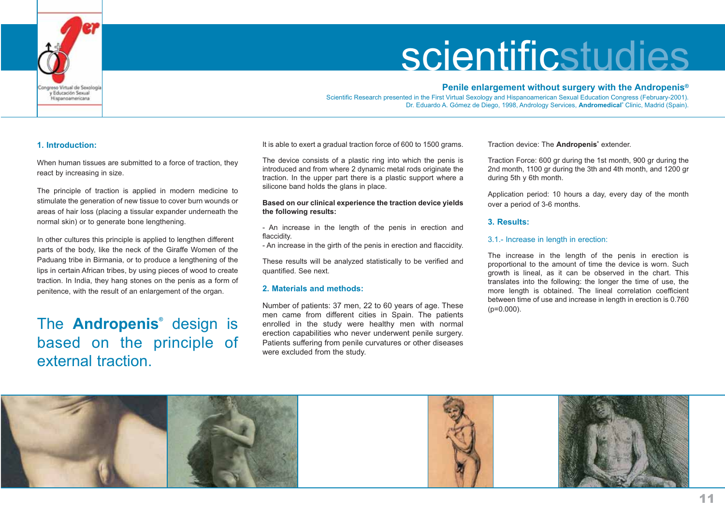

## **Penile enlargement without surgery with the Andropenis®**

Scientific Research presented in the First Virtual Sexology and Hispanoamerican Sexual Education Congress (February-2001). Dr. Eduardo A. Gómez de Diego, 1998, Andrology Services, **Andromedical®** Clinic, Madrid (Spain).

#### **1. Introduction:**

When human tissues are submitted to a force of traction, they react by increasing in size.

The principle of traction is applied in modern medicine to stimulate the generation of new tissue to cover burn wounds or areas of hair loss (placing a tissular expander underneath the normal skin) or to generate bone lengthening.

In other cultures this principle is applied to lengthen different parts of the body, like the neck of the Giraffe Women of the Paduang tribe in Birmania, or to produce a lengthening of the lips in certain African tribes, by using pieces of wood to create traction. In India, they hang stones on the penis as a form of penitence, with the result of an enlargement of the organ.

The **Andropenis®** design is based on the principle of external traction.

It is able to exert a gradual traction force of 600 to 1500 grams.

The device consists of a plastic ring into which the penis is introduced and from where 2 dynamic metal rods originate the traction. In the upper part there is a plastic support where a silicone band holds the glans in place.

#### **Based on our clinical experience the traction device yields the following results:**

- An increase in the length of the penis in erection and flaccidity.

- An increase in the girth of the penis in erection and flaccidity.

These results will be analyzed statistically to be verified and quantified. See next.

## **2. Materials and methods:**

Number of patients: 37 men, 22 to 60 years of age. These men came from different cities in Spain. The patients enrolled in the study were healthy men with normal erection capabilities who never underwent penile surgery. Patients suffering from penile curvatures or other diseases were excluded from the study.

Traction device: The **Andropenis®** extender.

Traction Force: 600 gr during the 1st month, 900 gr during the 2nd month, 1100 gr during the 3th and 4th month, and 1200 gr during 5th y 6th month.

Application period: 10 hours a day, every day of the month over a period of 3-6 months.

### **3. Results:**

#### 3.1.- Increase in length in erection:

The increase in the length of the penis in erection is proportional to the amount of time the device is worn. Such growth is lineal, as it can be observed in the chart. This translates into the following: the longer the time of use, the more length is obtained. The lineal correlation coefficient between time of use and increase in length in erection is 0.760  $(p=0.000)$ .

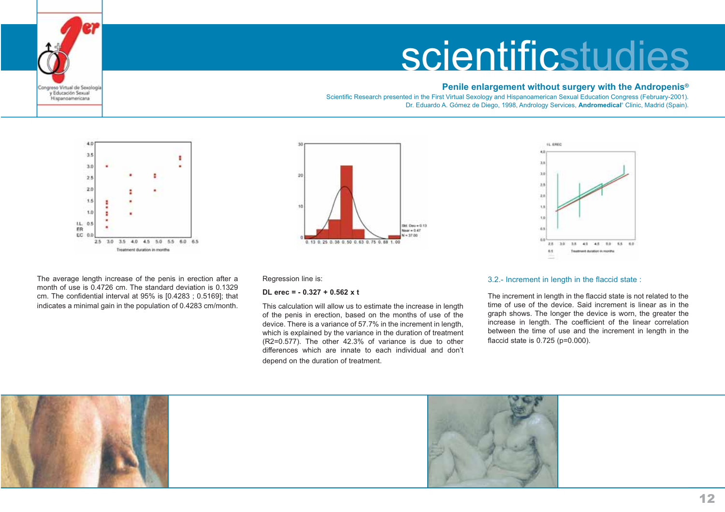## **Penile enlargement without surgery with the Andropenis®**

Scientific Research presented in the First Virtual Sexology and Hispanoamerican Sexual Education Congress (February-2001). Dr. Eduardo A. Gómez de Diego, 1998, Andrology Services, **Andromedical®** Clinic, Madrid (Spain).



Congreso Virtual de Saxología y Educación Sexual Hispanoamericana

The average length increase of the penis in erection after a month of use is 0.4726 cm. The standard deviation is 0.1329cm. The confidential interval at 95% is [0.4283 ; 0.5169]; that indicates a minimal gain in the population of 0.4283 cm/month.





Regression line is:

#### **DL erec = - 0.327 + 0.562 x t**

This calculation will allow us to estimate the increase in length of the penis in erection, based on the months of use of the device. There is a variance of 57.7% in the increment in length, which is explained by the variance in the duration of treatment (R2=0.577). The other 42.3% of variance is due to other differences which are innate to each individual and don'tdepend on the duration of treatment.

#### 3.2.- Increment in length in the flaccid state :

The increment in length in the flaccid state is not related to the time of use of the device. Said increment is linear as in thegraph shows. The longer the device is worn, the greater the increase in length. The coefficient of the linear correlation between the time of use and the increment in length in the flaccid state is 0.725 (p=0.000).

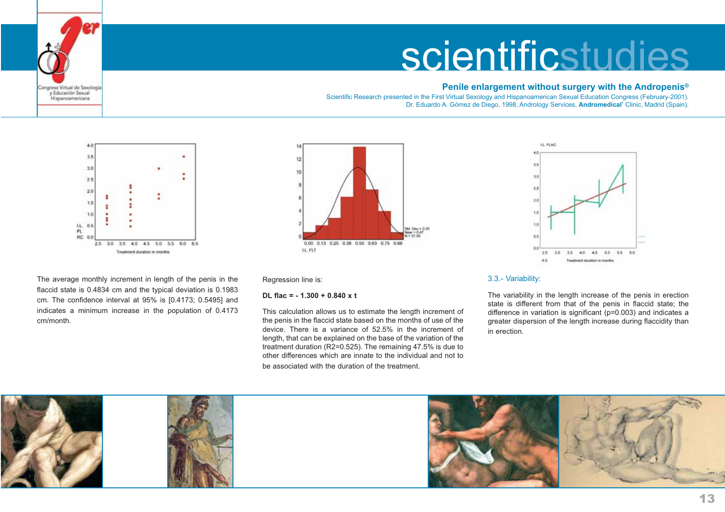## **Penile enlargement without surgery with the Andropenis®**

Scientific Research presented in the First Virtual Sexology and Hispanoamerican Sexual Education Congress (February-2001). Dr. Eduardo A. Gómez de Diego, 1998, Andrology Services, **Andromedical®** Clinic, Madrid (Spain).



Congreso Virtual de Saxología y Educación Sexual Hispanoamericana

The average monthly increment in length of the penis in the flaccid state is 0.4834 cm and the typical deviation is 0.1983 cm. The confidence interval at 95% is [0.4173; 0.5495] and indicates a minimum increase in the population of 0.4173 cm/month.



Regression line is:

#### **DL flac = - 1.300 + 0.840 x t**

This calculation allows us to estimate the length increment of the penis in the flaccid state based on the months of use of the device. There is a variance of 52.5% in the increment oflength, that can be explained on the base of the variation of the treatment duration (R2=0.525). The remaining 47.5% is due to other differences which are innate to the individual and not tobe associated with the duration of the treatment.



### 3.3.- Variability:

The variability in the length increase of the penis in erection state is different from that of the penis in flaccid state; the difference in variation is significant (p=0.003) and indicates a greater dispersion of the length increase during flaccidity than in erection.

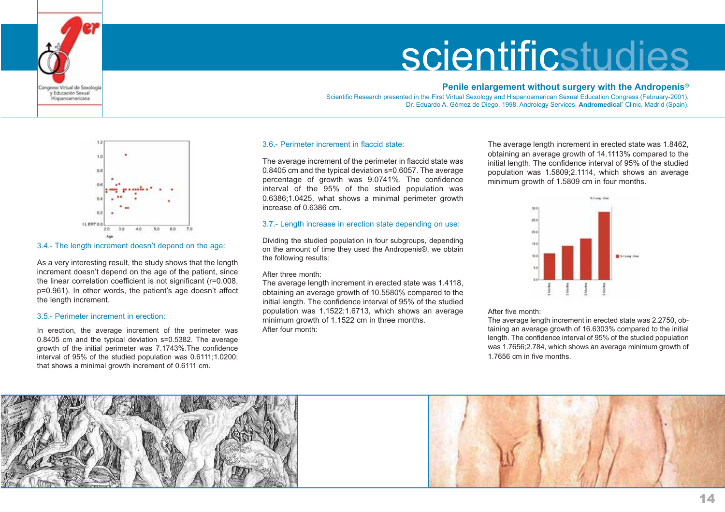

#### **Penile enlargement without surgery with the Andropenis®**

Scientific Research presented in the First Virtual Sexology and Hispanoamerican Sexual Education Congress (February-2001). Dr. Eduardo A. Gómez de Diego, 1998, Andrology Services, **Andromedical®** Clinic, Madrid (Spain).



## 3.4.- The length increment doesn't depend on the age:

As a very interesting result, the study shows that the length increment doesn't depend on the age of the patient, since the linear correlation coefficient is not significant (r=0.008, p=0.961). In other words, the patient's age doesn't affect the length increment.

#### 3.5.- Perimeter increment in erection:

areso Virtual de Sexologi y Educación Sexual Historiamericana

In erection, the average increment of the perimeter was 0.8405 cm and the typical deviation s=0.5382. The average growth of the initial perimeter was 7.1743%.The confidence interval of 95% of the studied population was 0.6111;1.0200; that shows a minimal growth increment of 0.6111 cm.

#### 3.6.- Perimeter increment in flaccid state:

The average increment of the perimeter in flaccid state was 0.8405 cm and the typical deviation s=0.6057. The average percentage of growth was 9.0741%. The confidence interval of the 95% of the studied population was 0.6386;1.0425, what shows a minimal perimeter growth increase of 0.6386 cm.

#### 3.7.- Length increase in erection state depending on use:

Dividing the studied population in four subgroups, depending on the amount of time they used the Andropenis®, we obtain the following results:

#### After three month:

The average length increment in erected state was 1.4118, obtaining an average growth of 10.5580% compared to the initial length. The confidence interval of 95% of the studied population was 1.1522;1.6713, which shows an average minimum growth of 1.1522 cm in three months. After four month:

The average length increment in erected state was 1.8462, obtaining an average growth of 14.1113% compared to the initial length. The confidence interval of 95% of the studied population was 1.5809;2.1114, which shows an average minimum growth of 1.5809 cm in four months.



After five month:

The average length increment in erected state was 2.2750, obtaining an average growth of 16.6303% compared to the initial length. The confidence interval of 95% of the studied population was 1.7656;2.784, which shows an average minimum growth of 1.7656 cm in five months.